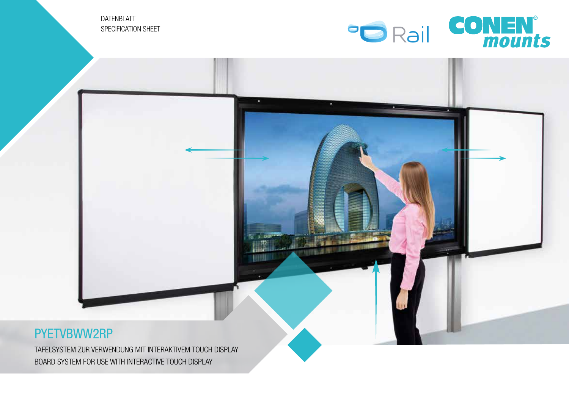DATENBLATT SPECIFICATION SHEET



## PYETVBWW2RP

TAFELSYSTEM ZUR VERWENDUNG MIT INTERAKTIVEM TOUCH DISPLAY BOARD SYSTEM FOR USE WITH INTERACTIVE TOUCH DISPLAY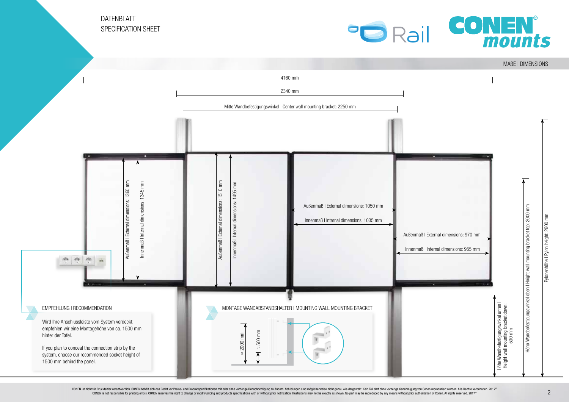DATENBLATT SPECIFICATION SHEET



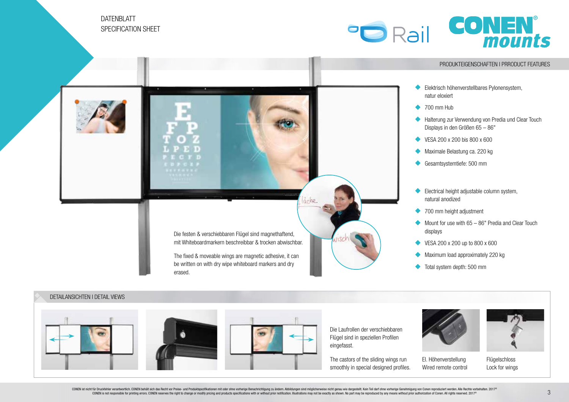DATENBLATT SPECIFICATION SHEFT







CONEN ist nicht für Druckfehler verantwortlich. CONEN behält sich das Recht vor Preise- und Produktspezifikationen mit oder ohne vorherige Benachrichtigung zu ändern. Abbildungen sind möglicherweise nicht genau wie dargest rturbuckness the mail of the State of the State of the State of the State und Froductspearliationen mit oder onle videos discussions in a media mail of the state and moducts secured by a mail of the state of the state of t